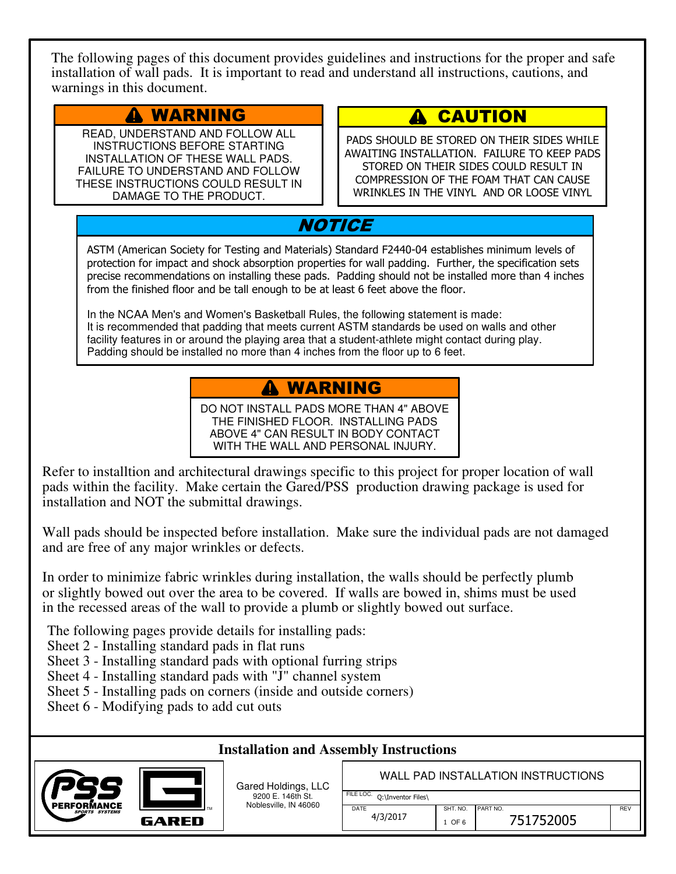The following pages of this document provides guidelines and instructions for the proper and safe installation of wall pads. It is important to read and understand all instructions, cautions, and warnings in this document.

#### WARNING

READ, UNDERSTAND AND FOLLOW ALL INSTRUCTIONS BEFORE STARTING INSTALLATION OF THESE WALL PADS. FAILURE TO UNDERSTAND AND FOLLOW THESE INSTRUCTIONS COULD RESULT IN DAMAGE TO THE PRODUCT.

#### **CAUTION**  $\mathbf{A}^-$

PADS SHOULD BE STORED ON THEIR SIDES WHILE AWAITING INSTALLATION. FAILURE TO KEEP PADS STORED ON THEIR SIDES COULD RESULT IN COMPRESSION OF THE FOAM THAT CAN CAUSE WRINKLES IN THE VINYL AND OR LOOSE VINYL

# **NOTICE**

ASTM (American Society for Testing and Materials) Standard F2440-04 establishes minimum levels of protection for impact and shock absorption properties for wall padding. Further, the specification sets precise recommendations on installing these pads. Padding should not be installed more than 4 inches from the finished floor and be tall enough to be at least 6 feet above the floor.

In the NCAA Men's and Women's Basketball Rules, the following statement is made: It is recommended that padding that meets current ASTM standards be used on walls and other facility features in or around the playing area that a student-athlete might contact during play. Padding should be installed no more than 4 inches from the floor up to 6 feet.

### WARNING

DO NOT INSTALL PADS MORE THAN 4" ABOVE THE FINISHED FLOOR. INSTALLING PADS ABOVE 4" CAN RESULT IN BODY CONTACT WITH THE WALL AND PERSONAL INJURY.

Refer to installtion and architectural drawings specific to this project for proper location of wall pads within the facility. Make certain the Gared/PSS production drawing package is used for installation and NOT the submittal drawings.

Wall pads should be inspected before installation. Make sure the individual pads are not damaged and are free of any major wrinkles or defects.

In order to minimize fabric wrinkles during installation, the walls should be perfectly plumb or slightly bowed out over the area to be covered. If walls are bowed in, shims must be used in the recessed areas of the wall to provide a plumb or slightly bowed out surface.

The following pages provide details for installing pads:

- Sheet 2 Installing standard pads in flat runs
- Sheet 3 Installing standard pads with optional furring strips
- Sheet 4 Installing standard pads with "J" channel system
- Sheet 5 Installing pads on corners (inside and outside corners)
- Sheet 6 Modifying pads to add cut outs

#### **Installation and Assembly Instructions**



Gared Holdings, LLC 9200 E. 146th St. Noblesville, IN 46060

WALL PAD INSTALLATION INSTRUCTIONS

| FILE LOC. O:\Inventor Files\ |          |    |
|------------------------------|----------|----|
| <b>DATE</b>                  | SHT. NO. | PA |
| 4/3/2017                     | 1.05c    |    |

SHT. NO. PART NO. And the set of the set of the set of the set of the set of the set of the set of the set of t  $1$  OF 6 751752005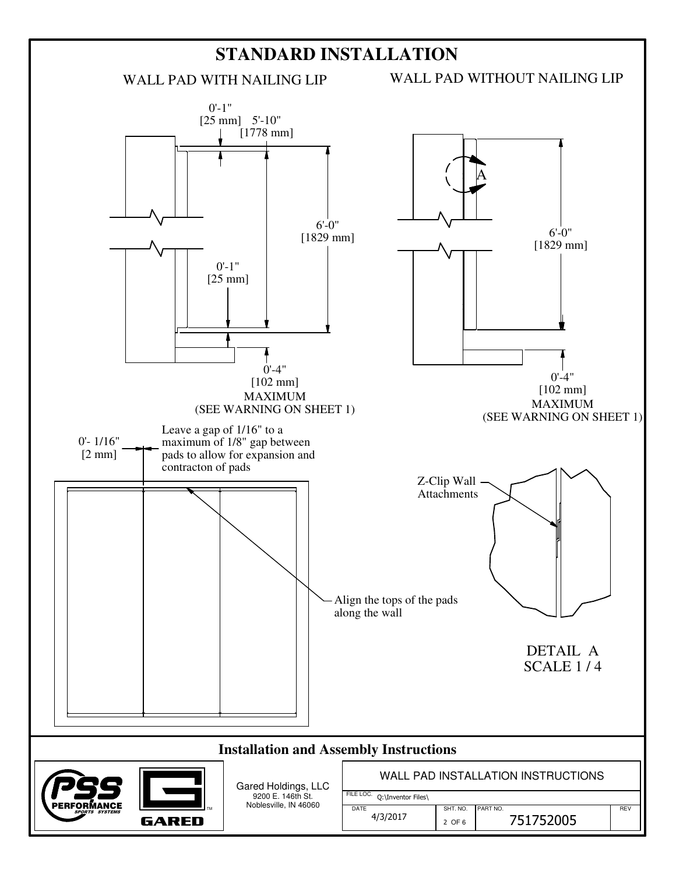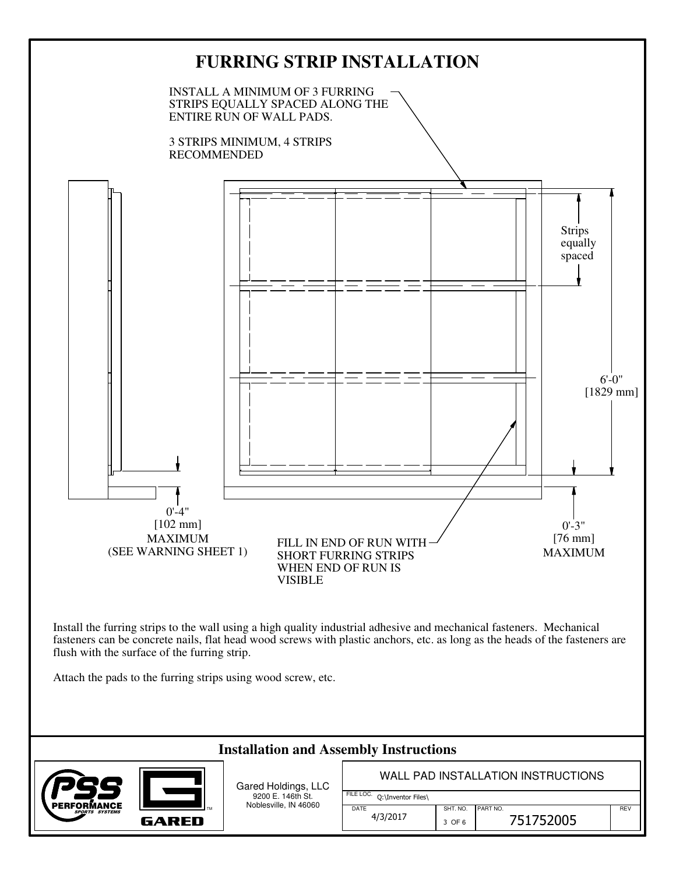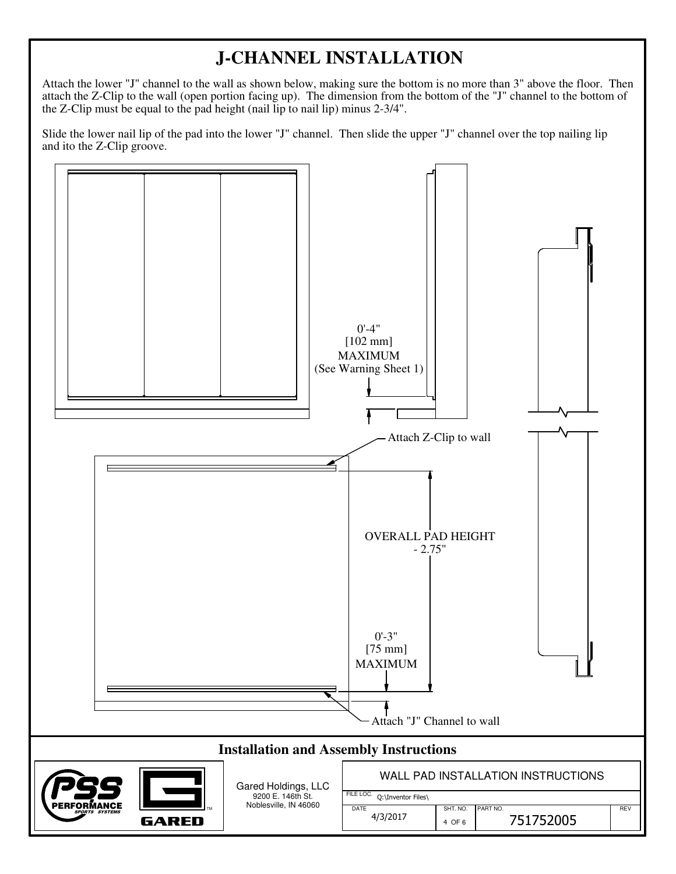## **J-CHANNEL INSTALLATION**

Attach the lower "J" channel to the wall as shown below, making sure the bottom is no more than 3" above the floor. Then attach the Z-Clip to the wall (open portion facing up). The dimension from the bottom of the "J" channel to the bottom of the Z-Clip must be equal to the pad height (nail lip to nail lip) minus 2-3/4".

Slide the lower nail lip of the pad into the lower "J" channel. Then slide the upper "J" channel over the top nailing lip and ito the Z-Clip groove.

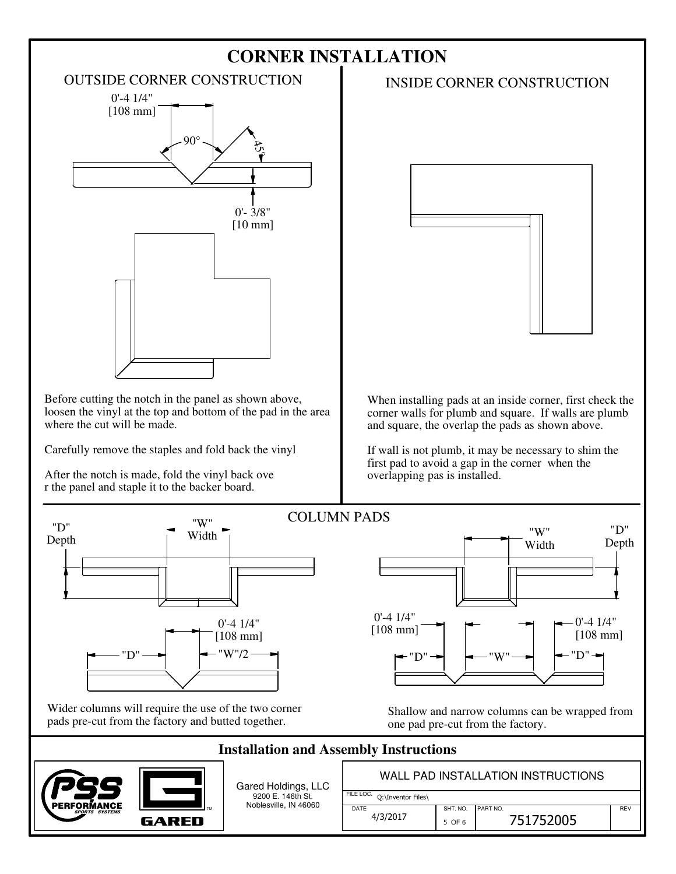